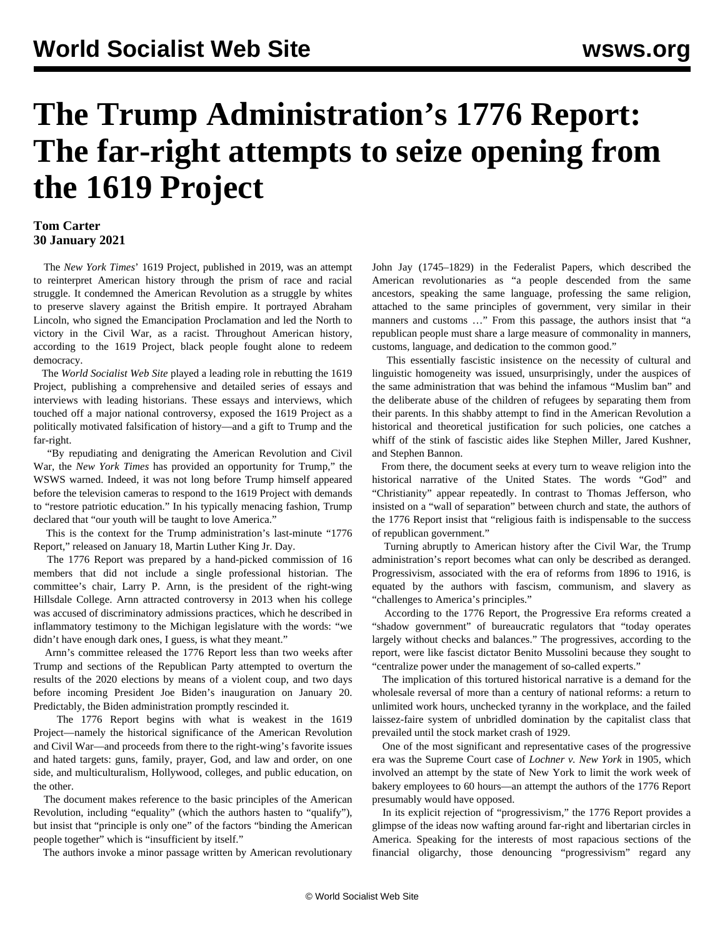## **The Trump Administration's 1776 Report: The far-right attempts to seize opening from the 1619 Project**

## **Tom Carter 30 January 2021**

 The *New York Times*' 1619 Project, published in 2019, was an attempt to reinterpret American history through the prism of race and racial struggle. It condemned the American Revolution as a struggle by whites to preserve slavery against the British empire. It portrayed Abraham Lincoln, who signed the Emancipation Proclamation and led the North to victory in the Civil War, as a racist. Throughout American history, according to the 1619 Project, black people fought alone to redeem democracy.

 The *World Socialist Web Site* played a leading role in rebutting the 1619 Project, publishing a comprehensive and detailed [series](/en/topics/event/1619) of essays and interviews with leading historians. These essays and interviews, which touched off a major national controversy, exposed the 1619 Project as a politically motivated falsification of history—and a gift to Trump and the far-right.

 "By repudiating and denigrating the American Revolution and Civil War, the *New York Times* has provided an opportunity for Trump," the WSWS [warned](/en/articles/2020/09/22/1619-s22.html). Indeed, it was not long before Trump himself appeared before the television cameras to respond to the 1619 Project with [demands](/en/articles/2020/09/22/1619-s22.html) to "restore patriotic education." In his typically menacing fashion, Trump declared that "our youth will be taught to love America."

 This is the context for the Trump administration's last-minute "1776 Report," released on January 18, Martin Luther King Jr. Day.

 The 1776 Report was prepared by a hand-picked commission of 16 members that did not include a single professional historian. The committee's chair, Larry P. Arnn, is the president of the right-wing Hillsdale College. Arnn attracted controversy in 2013 when his college was accused of discriminatory admissions practices, which he described in inflammatory testimony to the Michigan legislature with the words: "we didn't have enough dark ones, I guess, is what they meant."

 Arnn's committee released the 1776 Report less than two weeks after Trump and sections of the Republican Party attempted to overturn the results of the 2020 elections by means of a violent coup, and two days before incoming President Joe Biden's inauguration on January 20. Predictably, the Biden administration promptly rescinded it.

 The 1776 Report begins with what is weakest in the 1619 Project—namely the historical significance of the American Revolution and Civil War—and proceeds from there to the right-wing's favorite issues and hated targets: guns, family, prayer, God, and law and order, on one side, and multiculturalism, Hollywood, colleges, and public education, on the other.

 The document makes reference to the basic principles of the American Revolution, including "equality" (which the authors hasten to "qualify"), but insist that "principle is only one" of the factors "binding the American people together" which is "insufficient by itself."

The authors invoke a minor passage written by American revolutionary

John Jay (1745–1829) in the Federalist Papers, which described the American revolutionaries as "a people descended from the same ancestors, speaking the same language, professing the same religion, attached to the same principles of government, very similar in their manners and customs …" From this passage, the authors insist that "a republican people must share a large measure of commonality in manners, customs, language, and dedication to the common good."

 This essentially fascistic insistence on the necessity of cultural and linguistic homogeneity was issued, unsurprisingly, under the auspices of the same administration that was behind the infamous "Muslim ban" and the deliberate abuse of the children of refugees by separating them from their parents. In this shabby attempt to find in the American Revolution a historical and theoretical justification for such policies, one catches a whiff of the stink of fascistic aides like Stephen Miller, Jared Kushner, and Stephen Bannon.

 From there, the document seeks at every turn to weave religion into the historical narrative of the United States. The words "God" and "Christianity" appear repeatedly. In contrast to Thomas Jefferson, who insisted on a "wall of separation" between church and state, the authors of the 1776 Report insist that "religious faith is indispensable to the success of republican government."

 Turning abruptly to American history after the Civil War, the Trump administration's report becomes what can only be described as deranged. Progressivism, associated with the era of reforms from 1896 to 1916, is equated by the authors with fascism, communism, and slavery as "challenges to America's principles."

 According to the 1776 Report, the Progressive Era reforms created a "shadow government" of bureaucratic regulators that "today operates largely without checks and balances." The progressives, according to the report, were like fascist dictator Benito Mussolini because they sought to "centralize power under the management of so-called experts."

 The implication of this tortured historical narrative is a demand for the wholesale reversal of more than a century of national reforms: a return to unlimited work hours, unchecked tyranny in the workplace, and the failed laissez-faire system of unbridled domination by the capitalist class that prevailed until the stock market crash of 1929.

 One of the most significant and representative cases of the progressive era was the Supreme Court case of *Lochner v. New York* in 1905, which involved an attempt by the state of New York to limit the work week of bakery employees to 60 hours—an attempt the authors of the 1776 Report presumably would have opposed.

 In its explicit rejection of "progressivism," the 1776 Report provides a glimpse of the ideas now wafting around far-right and libertarian circles in America. Speaking for the interests of most rapacious sections of the financial oligarchy, those denouncing "progressivism" regard any